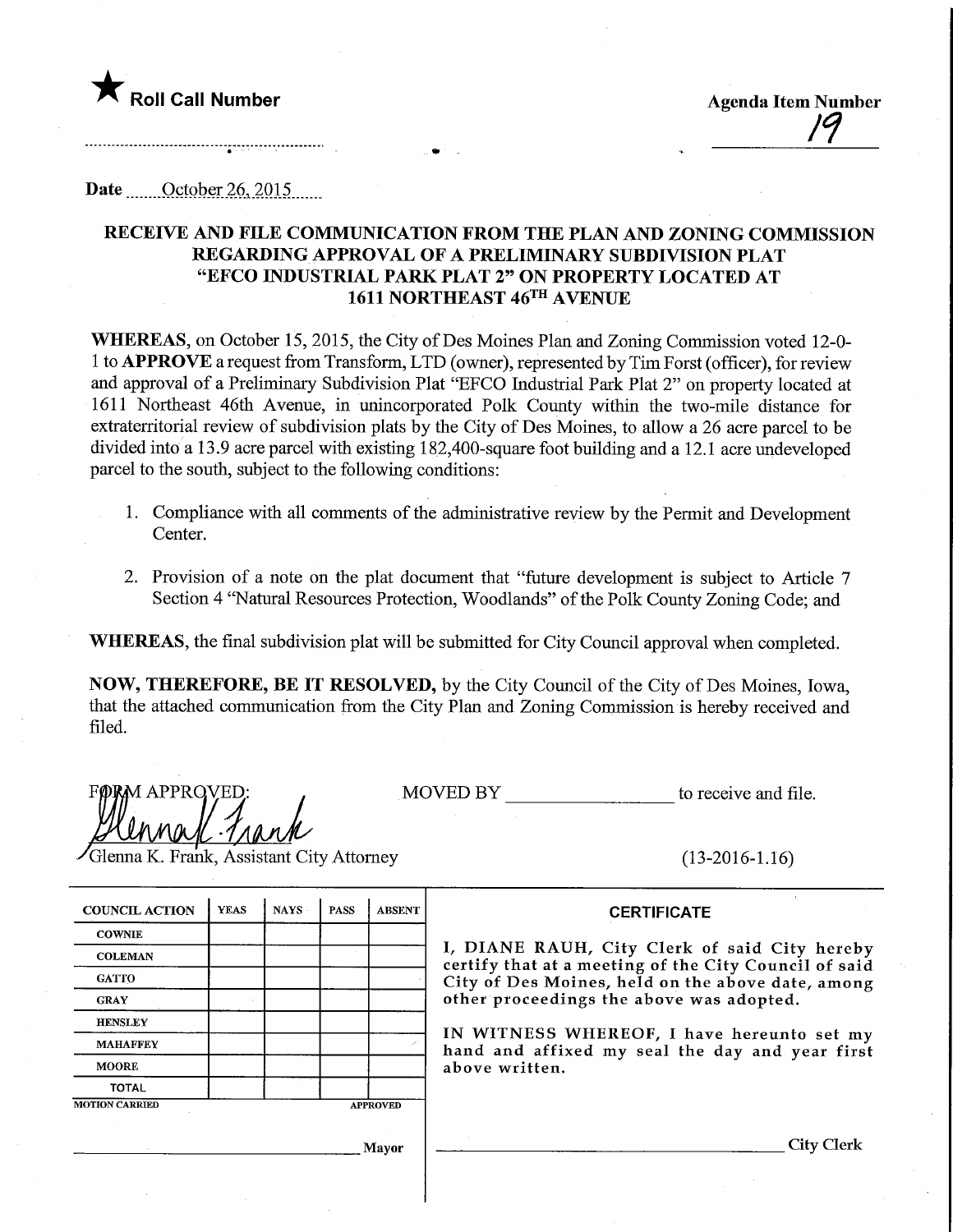

Roll Call Number Agenda Item Number ^

Date ........October 26,.2Q15.

## RECEIVE AND FILE COMMUNICATION FROM THE PLAN AND ZONING COMMISSION REGARDING APPROVAL OF A PRELIMINARY SUBDIVISION PLAT "EFCO INDUSTRIAL PARK PLAT 2" ON PROPERTY LOCATED AT 1611 NORTHEAST 46TH AVENUE

WHEREAS, on October 15, 2015, the City of Des Moines Plan and Zoning Commission voted 12-0-1 to APPROVE a request from Transform, LTD (owner), represented by Tim Forst (officer), for review and approval of a Preliminary Subdivision Plat "EFCO Industrial Park Plat 2" on property located at 1611 Northeast 46th Avenue, in unincorporated Polk County within the two-mile distance for extratemtorial review of subdivision plats by the City of Des Moines, to allow a 26 acre parcel to be divided into a 13.9 acre parcel with existing 182,400-square foot building and a 12.1 acre undeveloped parcel to the south, subject to the following conditions:

- 1. Compliance with all comments of the administrative review by the Permit and Development Center.
- 2. Provision of a note on the plat document that "future development is subject to Article 7 Section 4 "Natural Resources Protection, Woodlands" of the Polk County Zoning Code; and

WHEREAS, the final subdivision plat will be submitted for City Council approval when completed.

NOW, THEREFORE, BE IT RESOLVED, by the City Council of the City of Des Moines, Iowa, that the attached communication from the City Plan and Zoning Commission is hereby received and filed.

APPRQVED;  $\mu$  -1/ $\mu$ 

MOVED BY to receive and file.

Glenna K. Frank, Assistant City Attorney

(13-2016-1.16)

| <b>COUNCIL ACTION</b> | <b>YEAS</b> | NAYS -          | <b>PASS</b> | <b>ABSENT</b> |
|-----------------------|-------------|-----------------|-------------|---------------|
| <b>COWNIE</b>         |             |                 |             |               |
| <b>COLEMAN</b>        |             |                 |             |               |
| <b>GATTO</b>          |             |                 |             |               |
| <b>GRAY</b>           |             |                 |             |               |
| <b>HENSLEY</b>        |             |                 |             |               |
| <b>MAHAFFEY</b>       |             |                 |             |               |
| <b>MOORE</b>          |             |                 |             |               |
| <b>TOTAL</b>          |             |                 |             |               |
| <b>MOTION CARRIED</b> |             | <b>APPROVED</b> |             |               |

**CERTIFICATE** 

I, DIANE RAUH, City Clerk of said City hereby certify that at a meeting of the City Council of said City of Des Moines, held on the above date, among other proceedings the above was adopted.

IN WITNESS WHEREOF, I have hereunto set my hand and affixed my seal the day and year first above written.

.] layer

City Clerk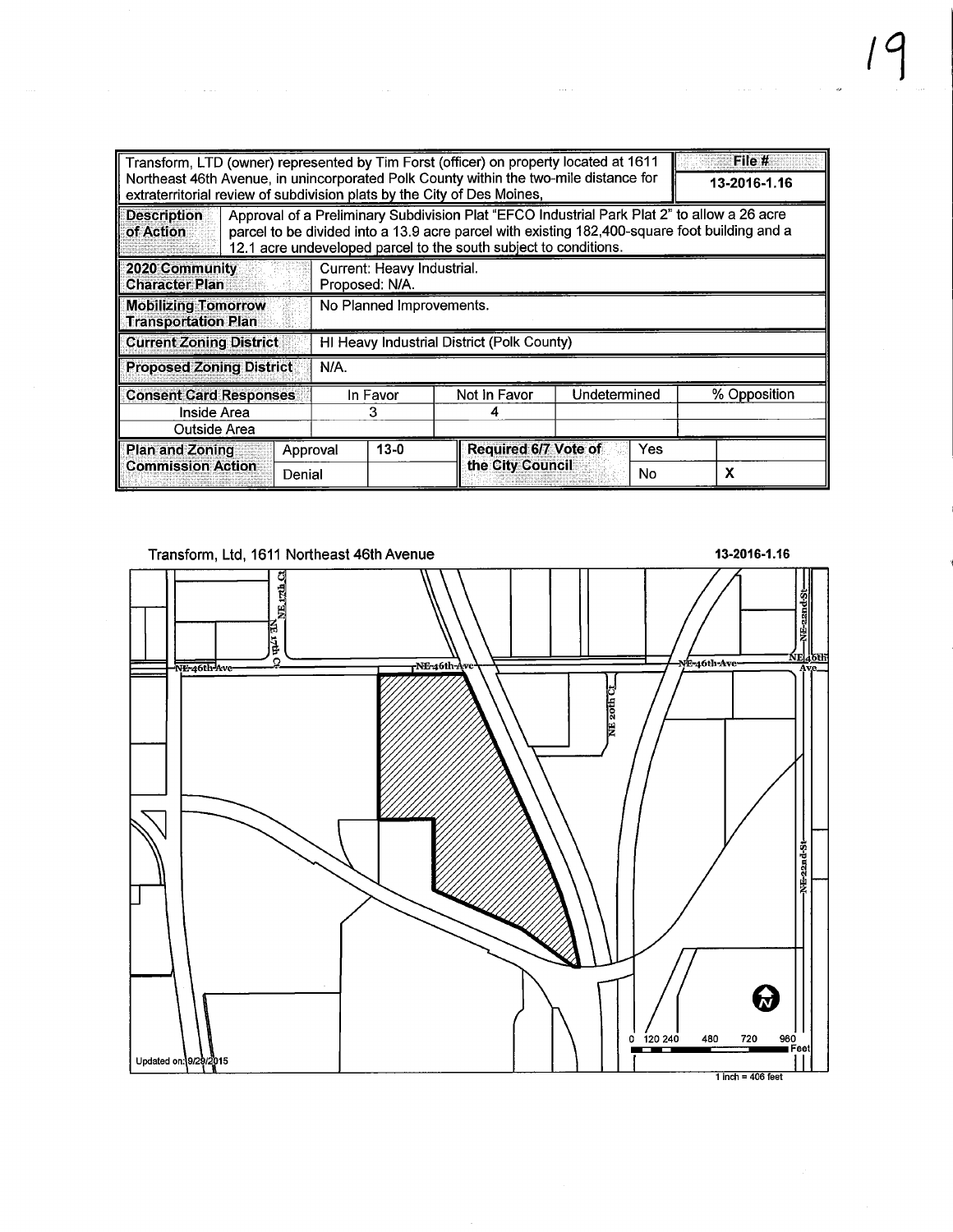|                                                              |        | Transform, LTD (owner) represented by Tim Forst (officer) on property located at 1611<br>Northeast 46th Avenue, in unincorporated Polk County within the two-mile distance for<br>extraterritorial review of subdivision plats by the City of Des Moines,        |                                                 |              | File #<br>13-2016-1.16 |  |  |  |  |
|--------------------------------------------------------------|--------|------------------------------------------------------------------------------------------------------------------------------------------------------------------------------------------------------------------------------------------------------------------|-------------------------------------------------|--------------|------------------------|--|--|--|--|
| <b>Description</b><br>of Action                              |        | Approval of a Preliminary Subdivision Plat "EFCO Industrial Park Plat 2" to allow a 26 acre<br>parcel to be divided into a 13.9 acre parcel with existing 182,400-square foot building and a<br>12.1 acre undeveloped parcel to the south subject to conditions. |                                                 |              |                        |  |  |  |  |
| 2020 Community<br><b>Character Plan</b>                      |        | Current: Heavy Industrial.<br>Proposed: N/A.                                                                                                                                                                                                                     |                                                 |              |                        |  |  |  |  |
| <b>Mobilizing Tomorrow</b><br><b>Transportation Plan</b>     |        | No Planned Improvements.                                                                                                                                                                                                                                         |                                                 |              |                        |  |  |  |  |
| <b>Current Zoning District</b>                               |        | HI Heavy Industrial District (Polk County)                                                                                                                                                                                                                       |                                                 |              |                        |  |  |  |  |
| <b>Proposed Zoning District</b>                              |        | N/A                                                                                                                                                                                                                                                              |                                                 |              |                        |  |  |  |  |
| <b>Consent Card Responses</b><br>Inside Area<br>Outside Area |        | In Favor<br>3                                                                                                                                                                                                                                                    | Not in Favor                                    | Undetermined | % Opposition           |  |  |  |  |
| <b>Plan and Zoning</b><br><b>Commission Action</b>           | Denial | $13 - 0$<br>Approval                                                                                                                                                                                                                                             | <b>Required 6/7 Vote of</b><br>the City Council | Yes<br>No    | X                      |  |  |  |  |

المسلم المسلمين المسلمين المسلمين المسلمين المسلمين المسلمين المسلمين المسلمين المسلمين المسلمين المسلمين

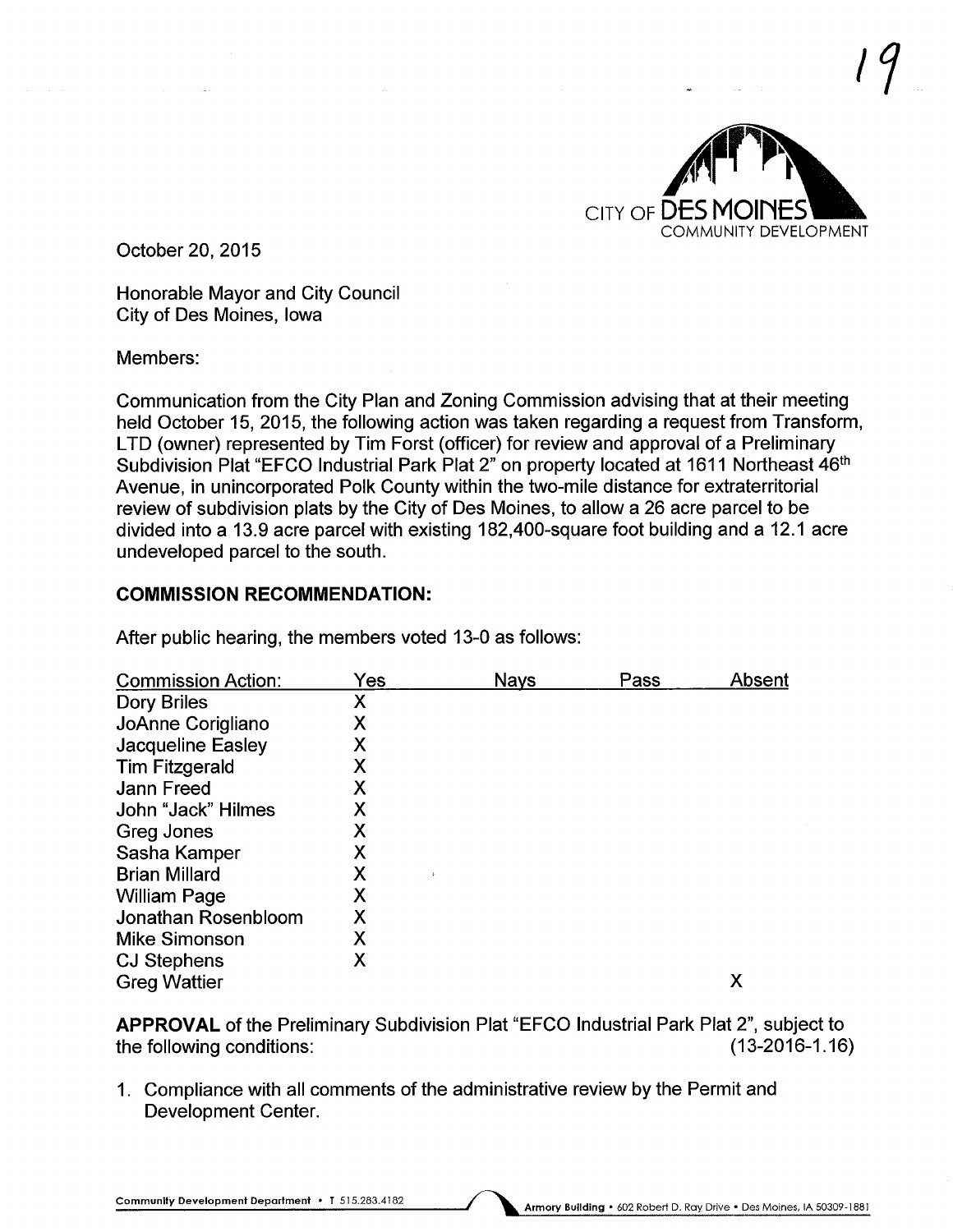

,7

October 20, 2015

Honorable Mayor and City Council City of Des Moines, Iowa

#### Members:

Communication from the City Plan and Zoning Commission advising that at their meeting held October 15, 2015, the following action was taken regarding a request from Transform, LTD (owner) represented by Tim Forst (officer) for review and approval of a Preliminary Subdivision Plat "EFCO Industrial Park Plat 2" on property located at 1611 Northeast 46<sup>th</sup> Avenue, in unincorporated Polk County within the two-mile distance for extraterritorial review of subdivision plats by the City of Des Moines, to allow a 26 acre parcel to be divided into a 13.9 acre parcel with existing 182,400-square foot building and a 12.1 acre undeveloped parcel to the south.

## COMMISSION RECOMMENDATION:

After public hearing, the members voted 13-0 as follows:

| <b>Commission Action:</b> | Yes | <b>Nays</b> | Pass | Absent |
|---------------------------|-----|-------------|------|--------|
| Dory Briles               | Х   |             |      |        |
| JoAnne Corigliano         | Χ   |             |      |        |
| Jacqueline Easley         | Χ   |             |      |        |
| <b>Tim Fitzgerald</b>     | Χ   |             |      |        |
| <b>Jann Freed</b>         | Χ   |             |      |        |
| John "Jack" Hilmes        | Х   |             |      |        |
| Greg Jones                | Χ   |             |      |        |
| Sasha Kamper              | Χ   |             |      |        |
| <b>Brian Millard</b>      | Χ   |             |      |        |
| <b>William Page</b>       | Χ   |             |      |        |
| Jonathan Rosenbloom       | Χ   |             |      |        |
| <b>Mike Simonson</b>      | Χ   |             |      |        |
| <b>CJ Stephens</b>        | Х   |             |      |        |
| <b>Greg Wattier</b>       |     |             |      | Χ      |

APPROVAL of the Preliminary Subdivision Plat "EFCO Industrial Park Plat 2", subject to the following conditions: (13-2016-1.16)

1. Compliance with all comments of the administrative review by the Permit and Development Center.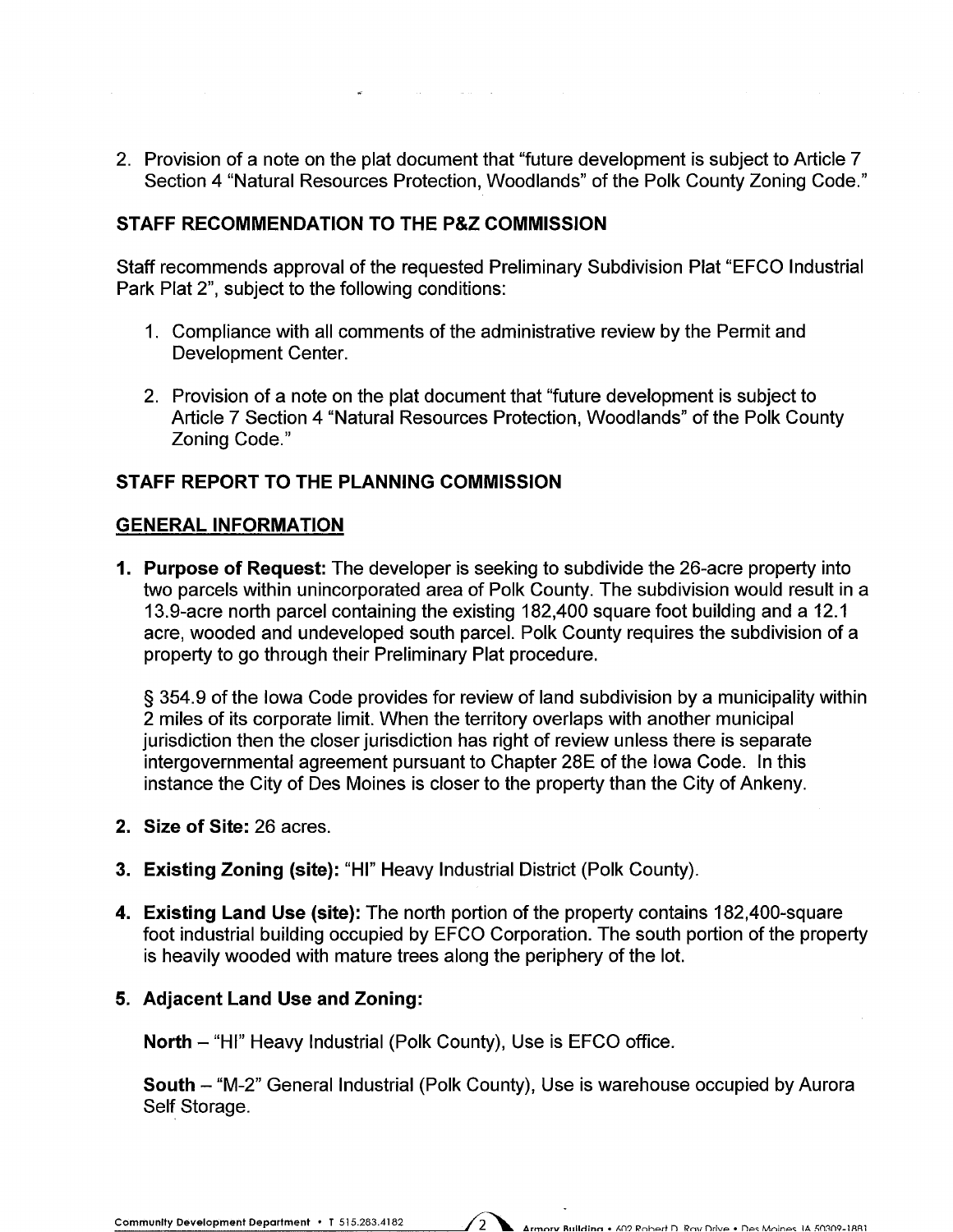2. Provision of a note on the plat document that "future development is subject to Article 7 Section 4 "Natural Resources Protection, Woodlands" of the Polk County Zoning Code."

 $\hat{f}$  and  $\hat{f}$  are the set of the set of the set of the set of  $\hat{f}$ 

# STAFF RECOMMENDATION TO THE P&Z COMMISSION

Staff recommends approval of the requested Preliminary Subdivision Plat "EFCO Industrial Park Plat 2", subject to the following conditions:

- 1. Compliance with all comments of the administrative review by the Permit and Development Center.
- 2. Provision of a note on the plat document that "future development is subject to Article 7 Section 4 "Natural Resources Protection, Woodlands" of the Polk County Zoning Code."

# STAFF REPORT TO THE PLANNING COMMISSION

## GENERAL INFORMATION

1. Purpose of Request: The developer is seeking to subdivide the 26-acre property into two parcels within unincorporated area of Polk County. The subdivision would result in a 13.9-acre north parcel containing the existing 182,400 square foot building and a 12.1 acre, wooded and undeveloped south parcel. Polk County requires the subdivision of a property to go through their Preliminary Plat procedure.

§ 354.9 of the Iowa Code provides for review of land subdivision by a municipality within 2 miles of its corporate limit. When the territory overlaps with another municipal jurisdiction then the closer jurisdiction has right of review unless there is separate intergovernmental agreement pursuant to Chapter 28E of the Iowa Code. In this instance the City of Des Moines is closer to the property than the City of Ankeny.

- 2. Size of Site: 26 acres.
- 3. Existing Zoning (site): "HI" Heavy Industrial District (Polk County).
- 4. Existing Land Use (site): The north portion of the property contains 182,400-square foot industrial building occupied by EFCO Corporation. The south portion of the property is heavily wooded with mature trees along the periphery of the lot.

## 5. Adjacent Land Use and Zoning:

North - "HI" Heavy Industrial (Polk County), Use is EFCO office.

South - "M-2" General Industrial (Polk County), Use is warehouse occupied by Aurora Self Storage.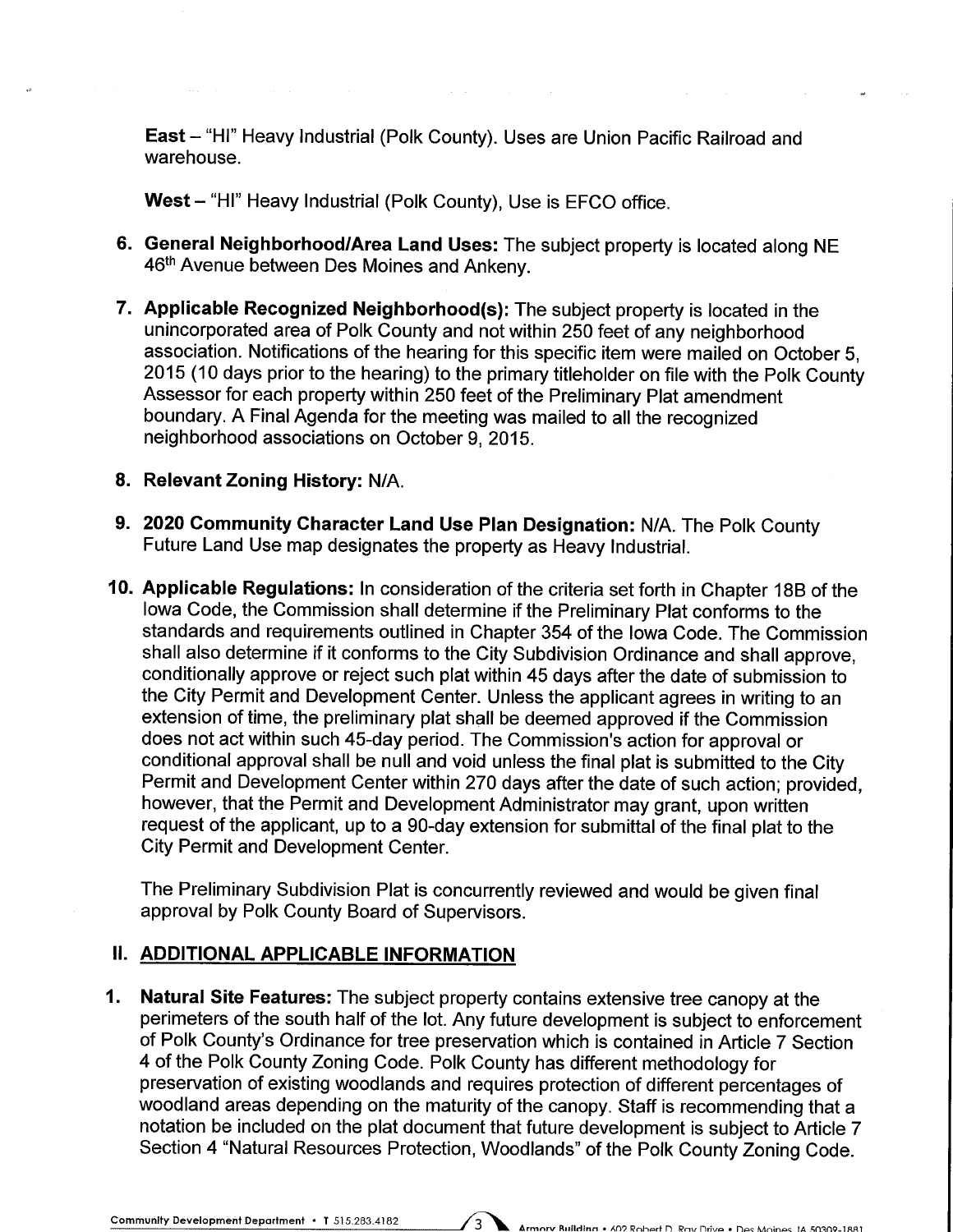East - "HI" Heavy Industrial (Polk County). Uses are Union Pacific Railroad and warehouse.

West - "HI" Heavy Industrial (Polk County), Use is EFCO office.

- 6. General Neighborhood/Area Land Uses: The subject property is located along NE 46<sup>th</sup> Avenue between Des Moines and Ankeny.
- 7. Applicable Recognized Neighborhood(s): The subject property is located in the unincorporated area of Polk County and not within 250 feet of any neighborhood association. Notifications of the hearing for this specific item were mailed on October 5, 2015 (10 days prior to the hearing) to the primary titleholder on file with the Polk County Assessor for each property within 250 feet of the Preliminary Plat amendment boundary. A Final Agenda for the meeting was mailed to all the recognized neighborhood associations on October 9, 2015.
- 8. Relevant Zoning History: N/A.
- 9. 2020 Community Character Land Use Plan Designation: N/A. The Polk County Future Land Use map designates the property as Heavy Industrial.
- 10. Applicable Regulations: In consideration of the criteria set forth in Chapter 18B of the Iowa Code, the Commission shall determine if the Preliminary Plat conforms to the standards and requirements outlined in Chapter 354 of the Iowa Code. The Commission shall also determine if it conforms to the City Subdivision Ordinance and shall approve, conditionally approve or reject such plat within 45 days after the date of submission to the City Permit and Development Center. Unless the applicant agrees in writing to an extension of time, the preliminary plat shall be deemed approved if the Commission does not act within such 45-day period. The Commission's action for approval or conditional approval shall be null and void unless the final plat is submitted to the City Permit and Development Center within 270 days after the date of such action; provided, however, that the Permit and Development Administrator may grant, upon written request of the applicant, up to a 90-day extension for submittal of the final plat to the City Permit and Development Center.

The Preliminary Subdivision Plat is concurrently reviewed and would be given final approval by Polk County Board of Supervisors.

### II. ADDITIONAL APPLICABLE INFORMATION

1. Natural Site Features: The subject property contains extensive tree canopy at the perimeters of the south half of the lot. Any future development is subject to enforcement of Polk County's Ordinance for tree preservation which is contained in Article 7 Section 4 of the Polk County Zoning Code. Polk County has different methodology for preservation of existing woodlands and requires protection of different percentages of woodland areas depending on the maturity of the canopy. Staff is recommending that a notation be included on the plat document that future development is subject to Article 7 Section 4 "Natural Resources Protection, Woodlands" of the Polk County Zoning Code.